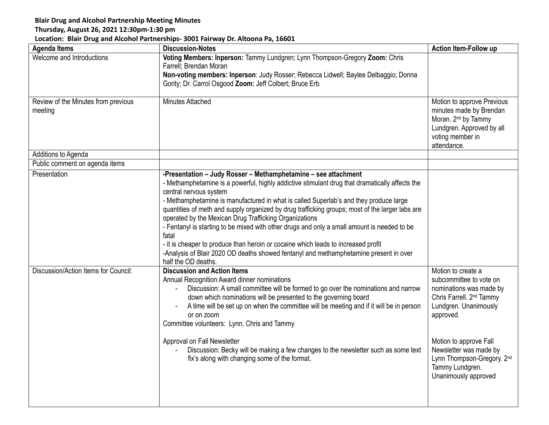## **Blair Drug and Alcohol Partnership Meeting Minutes**

## **Thursday, August 26, 2021 12:30pm-1:30 pm**

## **Location: Blair Drug and Alcohol Partnerships- 3001 Fairway Dr. Altoona Pa, 16601**

| <b>Agenda Items</b>                            | <b>Discussion-Notes</b>                                                                                                                                                                                                                                                                                                                                                                                                                                                                                                                                                                                                                                                                                                                                       | <b>Action Item-Follow up</b>                                                                                                                                                                                                                                                        |
|------------------------------------------------|---------------------------------------------------------------------------------------------------------------------------------------------------------------------------------------------------------------------------------------------------------------------------------------------------------------------------------------------------------------------------------------------------------------------------------------------------------------------------------------------------------------------------------------------------------------------------------------------------------------------------------------------------------------------------------------------------------------------------------------------------------------|-------------------------------------------------------------------------------------------------------------------------------------------------------------------------------------------------------------------------------------------------------------------------------------|
| Welcome and Introductions                      | Voting Members: Inperson: Tammy Lundgren; Lynn Thompson-Gregory Zoom: Chris<br>Farrell; Brendan Moran<br>Non-voting members: Inperson: Judy Rosser; Rebecca Lidwell; Baylee Delbaggio; Donna<br>Gority; Dr. Carrol Osgood Zoom: Jeff Colbert; Bruce Erb                                                                                                                                                                                                                                                                                                                                                                                                                                                                                                       |                                                                                                                                                                                                                                                                                     |
| Review of the Minutes from previous<br>meeting | Minutes Attached                                                                                                                                                                                                                                                                                                                                                                                                                                                                                                                                                                                                                                                                                                                                              | Motion to approve Previous<br>minutes made by Brendan<br>Moran. 2 <sup>nd</sup> by Tammy<br>Lundgren. Approved by all<br>voting member in<br>attendance.                                                                                                                            |
| Additions to Agenda                            |                                                                                                                                                                                                                                                                                                                                                                                                                                                                                                                                                                                                                                                                                                                                                               |                                                                                                                                                                                                                                                                                     |
| Public comment on agenda items                 |                                                                                                                                                                                                                                                                                                                                                                                                                                                                                                                                                                                                                                                                                                                                                               |                                                                                                                                                                                                                                                                                     |
| Presentation                                   | -Presentation - Judy Rosser - Methamphetamine - see attachment<br>- Methamphetamine is a powerful, highly addictive stimulant drug that dramatically affects the<br>central nervous system<br>- Methamphetamine is manufactured in what is called Superlab's and they produce large<br>quantities of meth and supply organized by drug trafficking groups; most of the larger labs are<br>operated by the Mexican Drug Trafficking Organizations<br>- Fentanyl is starting to be mixed with other drugs and only a small amount is needed to be<br>fatal<br>- it is cheaper to produce than heroin or cocaine which leads to increased profit<br>-Analysis of Blair 2020 OD deaths showed fentanyl and methamphetamine present in over<br>half the OD deaths. |                                                                                                                                                                                                                                                                                     |
| Discussion/Action Items for Council:           | <b>Discussion and Action Items</b><br>Annual Recognition Award dinner nominations<br>Discussion: A small committee will be formed to go over the nominations and narrow<br>down which nominations will be presented to the governing board<br>A time will be set up on when the committee will be meeting and if it will be in person<br>or on zoom<br>Committee volunteers: Lynn, Chris and Tammy<br>Approval on Fall Newsletter<br>Discussion: Becky will be making a few changes to the newsletter such as some text<br>fix's along with changing some of the format.                                                                                                                                                                                      | Motion to create a<br>subcommittee to vote on<br>nominations was made by<br>Chris Farrell. 2 <sup>nd</sup> Tammy<br>Lundgren. Unanimously<br>approved.<br>Motion to approve Fall<br>Newsletter was made by<br>Lynn Thompson-Gregory. 2nd<br>Tammy Lundgren.<br>Unanimously approved |